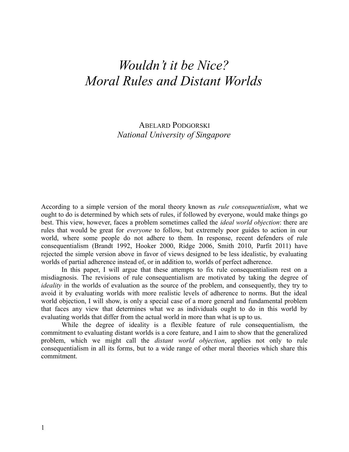# *Wouldn't it be Nice? Moral Rules and Distant Worlds*

ABELARD PODGORSKI *National University of Singapore*

According to a simple version of the moral theory known as *rule consequentialism*, what we ought to do is determined by which sets of rules, if followed by everyone, would make things go best. This view, however, faces a problem sometimes called the *ideal world objection*: there are rules that would be great for *everyone* to follow, but extremely poor guides to action in our world, where some people do not adhere to them. In response, recent defenders of rule consequentialism (Brandt 1992, Hooker 2000, Ridge 2006, Smith 2010, Parfit 2011) have rejected the simple version above in favor of views designed to be less idealistic, by evaluating worlds of partial adherence instead of, or in addition to, worlds of perfect adherence.

In this paper, I will argue that these attempts to fix rule consequentialism rest on a misdiagnosis. The revisions of rule consequentialism are motivated by taking the degree of *ideality* in the worlds of evaluation as the source of the problem, and consequently, they try to avoid it by evaluating worlds with more realistic levels of adherence to norms. But the ideal world objection, I will show, is only a special case of a more general and fundamental problem that faces any view that determines what we as individuals ought to do in this world by evaluating worlds that differ from the actual world in more than what is up to us.

While the degree of ideality is a flexible feature of rule consequentialism, the commitment to evaluating distant worlds is a core feature, and I aim to show that the generalized problem, which we might call the *distant world objection*, applies not only to rule consequentialism in all its forms, but to a wide range of other moral theories which share this commitment.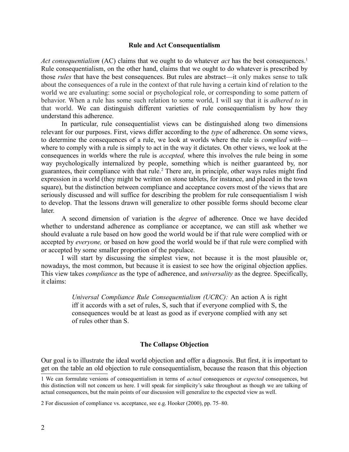## **Rule and Act Consequentialism**

*Act consequentialism* (AC) claims that we ought to do whatever *act* has the best consequences.<sup>[1](#page-1-0)</sup> Rule consequentialism, on the other hand, claims that we ought to do whatever is prescribed by those *rules* that have the best consequences. But rules are abstract—it only makes sense to talk about the consequences of a rule in the context of that rule having a certain kind of relation to the world we are evaluating: some social or psychological role, or corresponding to some pattern of behavior. When a rule has some such relation to some world, I will say that it is *adhered to* in that world. We can distinguish different varieties of rule consequentialism by how they understand this adherence.

In particular, rule consequentialist views can be distinguished along two dimensions relevant for our purposes. First, views differ according to the *type* of adherence. On some views, to determine the consequences of a rule, we look at worlds where the rule is *complied with* where to comply with a rule is simply to act in the way it dictates. On other views, we look at the consequences in worlds where the rule is *accepted,* where this involves the rule being in some way psychologically internalized by people, something which is neither guaranteed by, nor guarantees, their compliance with that rule.<sup>[2](#page-1-1)</sup> There are, in principle, other ways rules might find expression in a world (they might be written on stone tablets, for instance, and placed in the town square), but the distinction between compliance and acceptance covers most of the views that are seriously discussed and will suffice for describing the problem for rule consequentialism I wish to develop. That the lessons drawn will generalize to other possible forms should become clear later.

A second dimension of variation is the *degree* of adherence. Once we have decided whether to understand adherence as compliance or acceptance, we can still ask whether we should evaluate a rule based on how good the world would be if that rule were complied with or accepted by *everyone,* or based on how good the world would be if that rule were complied with or accepted by some smaller proportion of the populace.

I will start by discussing the simplest view, not because it is the most plausible or, nowadays, the most common, but because it is easiest to see how the original objection applies. This view takes *compliance* as the type of adherence, and *universality* as the degree. Specifically, it claims:

> *Universal Compliance Rule Consequentialism (UCRC):* An action A is right iff it accords with a set of rules, S, such that if everyone complied with S, the consequences would be at least as good as if everyone complied with any set of rules other than S.

## **The Collapse Objection**

Our goal is to illustrate the ideal world objection and offer a diagnosis. But first, it is important to get on the table an old objection to rule consequentialism, because the reason that this objection

<span id="page-1-0"></span><sup>1</sup> We can formulate versions of consequentialism in terms of *actual* consequences or *expected* consequences, but this distinction will not concern us here. I will speak for simplicity's sake throughout as though we are talking of actual consequences, but the main points of our discussion will generalize to the expected view as well.

<span id="page-1-1"></span><sup>2</sup> For discussion of compliance vs. acceptance, see e.g. Hooker (2000), pp. 75–80.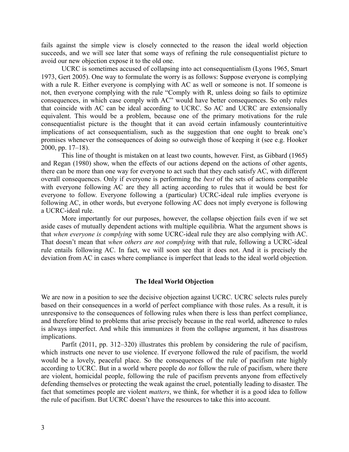fails against the simple view is closely connected to the reason the ideal world objection succeeds, and we will see later that some ways of refining the rule consequentialist picture to avoid our new objection expose it to the old one.

UCRC is sometimes accused of collapsing into act consequentialism (Lyons 1965, Smart 1973, Gert 2005). One way to formulate the worry is as follows: Suppose everyone is complying with a rule R. Either everyone is complying with AC as well or someone is not. If someone is not, then everyone complying with the rule "Comply with R, unless doing so fails to optimize consequences, in which case comply with AC" would have better consequences. So only rules that coincide with AC can be ideal according to UCRC. So AC and UCRC are extensionally equivalent. This would be a problem, because one of the primary motivations for the rule consequentialist picture is the thought that it can avoid certain infamously counterintuitive implications of act consequentialism, such as the suggestion that one ought to break one's promises whenever the consequences of doing so outweigh those of keeping it (see e.g. Hooker 2000, pp. 17–18).

This line of thought is mistaken on at least two counts, however. First, as Gibbard (1965) and Regan (1980) show, when the effects of our actions depend on the actions of other agents, there can be more than one way for everyone to act such that they each satisfy AC, with different overall consequences. Only if everyone is performing the *best* of the sets of actions compatible with everyone following AC are they all acting according to rules that it would be best for everyone to follow. Everyone following a (particular) UCRC-ideal rule implies everyone is following AC, in other words, but everyone following AC does not imply everyone is following a UCRC-ideal rule.

More importantly for our purposes, however, the collapse objection fails even if we set aside cases of mutually dependent actions with multiple equilibria. What the argument shows is that *when everyone is complying* with some UCRC-ideal rule they are also complying with AC. That doesn't mean that *when others are not complying* with that rule, following a UCRC-ideal rule entails following AC. In fact, we will soon see that it does not. And it is precisely the deviation from AC in cases where compliance is imperfect that leads to the ideal world objection.

#### **The Ideal World Objection**

We are now in a position to see the decisive objection against UCRC. UCRC selects rules purely based on their consequences in a world of perfect compliance with those rules. As a result, it is unresponsive to the consequences of following rules when there is less than perfect compliance, and therefore blind to problems that arise precisely because in the real world, adherence to rules is always imperfect. And while this immunizes it from the collapse argument, it has disastrous implications.

Parfit (2011, pp. 312–320) illustrates this problem by considering the rule of pacifism, which instructs one never to use violence. If everyone followed the rule of pacifism, the world would be a lovely, peaceful place. So the consequences of the rule of pacifism rate highly according to UCRC. But in a world where people do *not* follow the rule of pacifism, where there are violent, homicidal people, following the rule of pacifism prevents anyone from effectively defending themselves or protecting the weak against the cruel, potentially leading to disaster. The fact that sometimes people are violent *matters*, we think, for whether it is a good idea to follow the rule of pacifism. But UCRC doesn't have the resources to take this into account.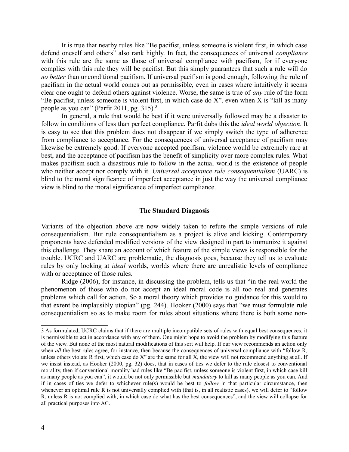It is true that nearby rules like "Be pacifist, unless someone is violent first, in which case defend oneself and others" also rank highly. In fact, the consequences of universal *compliance* with this rule are the same as those of universal compliance with pacifism, for if everyone complies with this rule they will be pacifist. But this simply guarantees that such a rule will do *no better* than unconditional pacifism. If universal pacifism is good enough, following the rule of pacifism in the actual world comes out as permissible, even in cases where intuitively it seems clear one ought to defend others against violence. Worse, the same is true of *any* rule of the form "Be pacifist, unless someone is violent first, in which case do  $X$ ", even when  $X$  is "kill as many people as you can" (Parfit 2011, pg. 315).[3](#page-3-0)

In general, a rule that would be best if it were universally followed may be a disaster to follow in conditions of less than perfect compliance. Parfit dubs this the *ideal world objection*. It is easy to see that this problem does not disappear if we simply switch the type of adherence from compliance to acceptance. For the consequences of universal acceptance of pacifism may likewise be extremely good. If everyone accepted pacifism, violence would be extremely rare at best, and the acceptance of pacifism has the benefit of simplicity over more complex rules. What makes pacifism such a disastrous rule to follow in the actual world is the existence of people who neither accept nor comply with it. *Universal acceptance rule consequentialism* (UARC) is blind to the moral significance of imperfect acceptance in just the way the universal compliance view is blind to the moral significance of imperfect compliance.

# **The Standard Diagnosis**

Variants of the objection above are now widely taken to refute the simple versions of rule consequentialism. But rule consequentialism as a project is alive and kicking. Contemporary proponents have defended modified versions of the view designed in part to immunize it against this challenge. They share an account of which feature of the simple views is responsible for the trouble. UCRC and UARC are problematic, the diagnosis goes, because they tell us to evaluate rules by only looking at *ideal* worlds, worlds where there are unrealistic levels of compliance with or acceptance of those rules.

Ridge (2006), for instance, in discussing the problem, tells us that "in the real world the phenomenon of those who do not accept an ideal moral code is all too real and generates problems which call for action. So a moral theory which provides no guidance for this would to that extent be implausibly utopian" (pg. 244). Hooker (2000) says that "we must formulate rule consequentialism so as to make room for rules about situations where there is both some non-

<span id="page-3-0"></span><sup>3</sup> As formulated, UCRC claims that if there are multiple incompatible sets of rules with equal best consequences, it is permissible to act in accordance with any of them. One might hope to avoid the problem by modifying this feature of the view. But none of the most natural modifications of this sort will help. If our view recommends an action only when *all* the best rules agree, for instance, then because the consequences of universal compliance with "follow R, unless others violate R first, which case do X" are the same for all X, the view will not recommend anything at all. If we insist instead, as Hooker (2000, pg. 32) does, that in cases of ties we defer to the rule closest to conventional morality, then if conventional morality had rules like "Be pacifist, unless someone is violent first, in which case kill as many people as you can", it would be not only permissible but *mandatory* to kill as many people as you can. And if in cases of ties we defer to whichever rule(s) would be best to *follow* in that particular circumstance, then whenever an optimal rule R is not universally complied with (that is, in all realistic cases), we will defer to "follow" R, unless R is not complied with, in which case do what has the best consequences", and the view will collapse for all practical purposes into AC.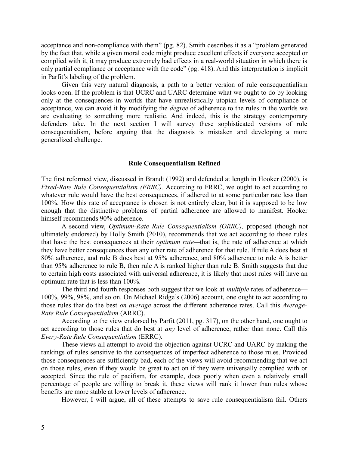acceptance and non-compliance with them" (pg. 82). Smith describes it as a "problem generated by the fact that, while a given moral code might produce excellent effects if everyone accepted or complied with it, it may produce extremely bad effects in a real-world situation in which there is only partial compliance or acceptance with the code" (pg. 418). And this interpretation is implicit in Parfit's labeling of the problem.

Given this very natural diagnosis, a path to a better version of rule consequentialism looks open. If the problem is that UCRC and UARC determine what we ought to do by looking only at the consequences in worlds that have unrealistically utopian levels of compliance or acceptance, we can avoid it by modifying the *degree* of adherence to the rules in the worlds we are evaluating to something more realistic. And indeed, this is the strategy contemporary defenders take. In the next section I will survey these sophisticated versions of rule consequentialism, before arguing that the diagnosis is mistaken and developing a more generalized challenge.

# **Rule Consequentialism Refined**

The first reformed view, discussed in Brandt (1992) and defended at length in Hooker (2000), is *Fixed-Rate Rule Consequentialism (FRRC)*. According to FRRC, we ought to act according to whatever rule would have the best consequences, if adhered to at some particular rate less than 100%. How this rate of acceptance is chosen is not entirely clear, but it is supposed to be low enough that the distinctive problems of partial adherence are allowed to manifest. Hooker himself recommends 90% adherence.

A second view, *Optimum-Rate Rule Consequentialism (ORRC),* proposed (though not ultimately endorsed) by Holly Smith (2010), recommends that we act according to those rules that have the best consequences at their *optimum rate—*that is, the rate of adherence at which they have better consequences than any other rate of adherence for that rule. If rule A does best at 80% adherence, and rule B does best at 95% adherence, and 80% adherence to rule A is better than 95% adherence to rule B, then rule A is ranked higher than rule B. Smith suggests that due to certain high costs associated with universal adherence, it is likely that most rules will have an optimum rate that is less than 100%.

The third and fourth responses both suggest that we look at *multiple* rates of adherence— 100%, 99%, 98%, and so on. On Michael Ridge's (2006) account, one ought to act according to those rules that do the best *on average* across the different adherence rates. Call this *Average-Rate Rule Consequentialism* (ARRC).

According to the view endorsed by Parfit (2011, pg. 317), on the other hand, one ought to act according to those rules that do best at *any* level of adherence, rather than none. Call this *Every-Rate Rule Consequentialism* (ERRC)*.*

These views all attempt to avoid the objection against UCRC and UARC by making the rankings of rules sensitive to the consequences of imperfect adherence to those rules. Provided those consequences are sufficiently bad, each of the views will avoid recommending that we act on those rules, even if they would be great to act on if they were universally complied with or accepted. Since the rule of pacifism, for example, does poorly when even a relatively small percentage of people are willing to break it, these views will rank it lower than rules whose benefits are more stable at lower levels of adherence.

However, I will argue, all of these attempts to save rule consequentialism fail. Others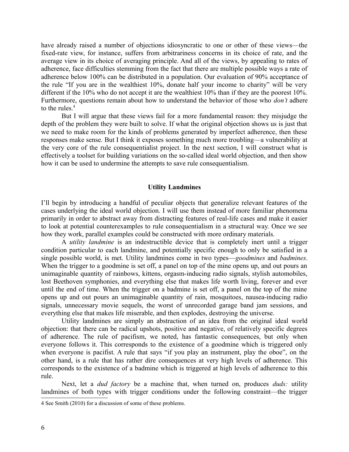have already raised a number of objections idiosyncratic to one or other of these views—the fixed-rate view, for instance, suffers from arbitrariness concerns in its choice of rate, and the average view in its choice of averaging principle. And all of the views, by appealing to rates of adherence, face difficulties stemming from the fact that there are multiple possible ways a rate of adherence below 100% can be distributed in a population. Our evaluation of 90% acceptance of the rule "If you are in the wealthiest 10%, donate half your income to charity" will be very different if the 10% who do not accept it are the wealthiest 10% than if they are the poorest 10%. Furthermore, questions remain about how to understand the behavior of those who *don't* adhere to the rules.<sup>[4](#page-5-0)</sup>

But I will argue that these views fail for a more fundamental reason: they misjudge the depth of the problem they were built to solve. If what the original objection shows us is just that we need to make room for the kinds of problems generated by imperfect adherence, then these responses make sense. But I think it exposes something much more troubling—a vulnerability at the very core of the rule consequentialist project. In the next section, I will construct what is effectively a toolset for building variations on the so-called ideal world objection, and then show how it can be used to undermine the attempts to save rule consequentialism.

#### **Utility Landmines**

I'll begin by introducing a handful of peculiar objects that generalize relevant features of the cases underlying the ideal world objection. I will use them instead of more familiar phenomena primarily in order to abstract away from distracting features of real-life cases and make it easier to look at potential counterexamples to rule consequentialism in a structural way. Once we see how they work, parallel examples could be constructed with more ordinary materials.

A *utility landmine* is an indestructible device that is completely inert until a trigger condition particular to each landmine, and potentially specific enough to only be satisfied in a single possible world, is met. Utility landmines come in two types—*goodmines* and *badmines*. When the trigger to a goodmine is set off, a panel on top of the mine opens up, and out pours an unimaginable quantity of rainbows, kittens, orgasm-inducing radio signals, stylish automobiles, lost Beethoven symphonies, and everything else that makes life worth living, forever and ever until the end of time. When the trigger on a badmine is set off, a panel on the top of the mine opens up and out pours an unimaginable quantity of rain, mosquitoes, nausea-inducing radio signals, unnecessary movie sequels, the worst of unrecorded garage band jam sessions, and everything else that makes life miserable, and then explodes, destroying the universe.

Utility landmines are simply an abstraction of an idea from the original ideal world objection: that there can be radical upshots, positive and negative, of relatively specific degrees of adherence. The rule of pacifism, we noted, has fantastic consequences, but only when everyone follows it. This corresponds to the existence of a goodmine which is triggered only when everyone is pacifist. A rule that says "if you play an instrument, play the oboe", on the other hand, is a rule that has rather dire consequences at very high levels of adherence. This corresponds to the existence of a badmine which is triggered at high levels of adherence to this rule.

Next, let a *dud factory* be a machine that, when turned on, produces *duds:* utility landmines of both types with trigger conditions under the following constraint—the trigger

<span id="page-5-0"></span><sup>4</sup> See Smith (2010) for a discussion of some of these problems.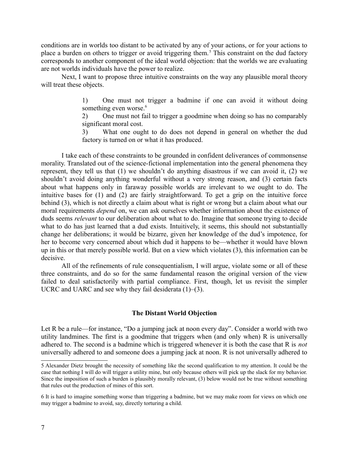conditions are in worlds too distant to be activated by any of your actions, or for your actions to place a burden on others to trigger or avoid triggering them.<sup>[5](#page-6-0)</sup> This constraint on the dud factory corresponds to another component of the ideal world objection: that the worlds we are evaluating are not worlds individuals have the power to realize.

Next, I want to propose three intuitive constraints on the way any plausible moral theory will treat these objects.

> 1) One must not trigger a badmine if one can avoid it without doing something even worse.<sup>[6](#page-6-1)</sup>

> 2) One must not fail to trigger a goodmine when doing so has no comparably significant moral cost.

> 3) What one ought to do does not depend in general on whether the dud factory is turned on or what it has produced.

I take each of these constraints to be grounded in confident deliverances of commonsense morality. Translated out of the science-fictional implementation into the general phenomena they represent, they tell us that (1) we shouldn't do anything disastrous if we can avoid it, (2) we shouldn't avoid doing anything wonderful without a very strong reason, and (3) certain facts about what happens only in faraway possible worlds are irrelevant to we ought to do. The intuitive bases for (1) and (2) are fairly straightforward. To get a grip on the intuitive force behind (3), which is not directly a claim about what is right or wrong but a claim about what our moral requirements *depend* on, we can ask ourselves whether information about the existence of duds seems *relevant* to our deliberation about what to do. Imagine that someone trying to decide what to do has just learned that a dud exists. Intuitively, it seems, this should not substantially change her deliberations; it would be bizarre, given her knowledge of the dud's impotence, for her to become very concerned about which dud it happens to be—whether it would have blown up in this or that merely possible world. But on a view which violates (3), this information can be decisive.

All of the refinements of rule consequentialism, I will argue, violate some or all of these three constraints, and do so for the same fundamental reason the original version of the view failed to deal satisfactorily with partial compliance. First, though, let us revisit the simpler UCRC and UARC and see why they fail desiderata (1)–(3).

## **The Distant World Objection**

Let R be a rule—for instance, "Do a jumping jack at noon every day". Consider a world with two utility landmines. The first is a goodmine that triggers when (and only when) R is universally adhered to. The second is a badmine which is triggered whenever it is both the case that R is *not* universally adhered to and someone does a jumping jack at noon. R is not universally adhered to

<span id="page-6-0"></span><sup>5</sup> Alexander Dietz brought the necessity of something like the second qualification to my attention. It could be the case that nothing I will do will trigger a utility mine, but only because others will pick up the slack for my behavior. Since the imposition of such a burden is plausibly morally relevant, (3) below would not be true without something that rules out the production of mines of this sort.

<span id="page-6-1"></span><sup>6</sup> It is hard to imagine something worse than triggering a badmine, but we may make room for views on which one may trigger a badmine to avoid, say, directly torturing a child.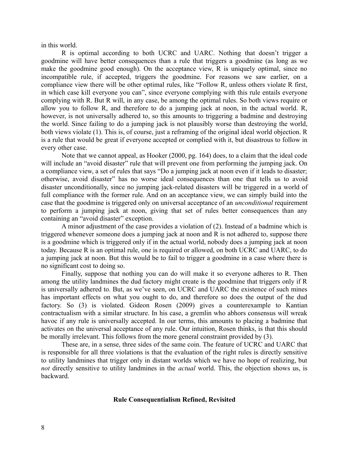in this world.

R is optimal according to both UCRC and UARC. Nothing that doesn't trigger a goodmine will have better consequences than a rule that triggers a goodmine (as long as we make the goodmine good enough). On the acceptance view, R is uniquely optimal, since no incompatible rule, if accepted, triggers the goodmine. For reasons we saw earlier, on a compliance view there will be other optimal rules, like "Follow R, unless others violate R first, in which case kill everyone you can", since everyone complying with this rule entails everyone complying with R. But R will, in any case, be among the optimal rules. So both views require or allow you to follow R, and therefore to do a jumping jack at noon, in the actual world. R, however, is not universally adhered to, so this amounts to triggering a badmine and destroying the world. Since failing to do a jumping jack is not plausibly worse than destroying the world, both views violate (1). This is, of course, just a reframing of the original ideal world objection. R is a rule that would be great if everyone accepted or complied with it, but disastrous to follow in every other case.

Note that we cannot appeal, as Hooker (2000, pg. 164) does, to a claim that the ideal code will include an "avoid disaster" rule that will prevent one from performing the jumping jack. On a compliance view, a set of rules that says "Do a jumping jack at noon even if it leads to disaster; otherwise, avoid disaster" has no worse ideal consequences than one that tells us to avoid disaster unconditionally, since no jumping jack-related disasters will be triggered in a world of full compliance with the former rule. And on an acceptance view, we can simply build into the case that the goodmine is triggered only on universal acceptance of an *unconditional* requirement to perform a jumping jack at noon, giving that set of rules better consequences than any containing an "avoid disaster" exception.

A minor adjustment of the case provides a violation of (2). Instead of a badmine which is triggered whenever someone does a jumping jack at noon and R is not adhered to, suppose there is a goodmine which is triggered only if in the actual world, nobody does a jumping jack at noon today. Because R is an optimal rule, one is required or allowed, on both UCRC and UARC, to do a jumping jack at noon. But this would be to fail to trigger a goodmine in a case where there is no significant cost to doing so.

Finally, suppose that nothing you can do will make it so everyone adheres to R. Then among the utility landmines the dud factory might create is the goodmine that triggers only if R is universally adhered to. But, as we've seen, on UCRC and UARC the existence of such mines has important effects on what you ought to do, and therefore so does the output of the dud factory. So (3) is violated. Gideon Rosen (2009) gives a counterexample to Kantian contractualism with a similar structure. In his case, a gremlin who abhors consensus will wreak havoc if any rule is universally accepted. In our terms, this amounts to placing a badmine that activates on the universal acceptance of any rule. Our intuition, Rosen thinks, is that this should be morally irrelevant. This follows from the more general constraint provided by (3).

These are, in a sense, three sides of the same coin. The feature of UCRC and UARC that is responsible for all three violations is that the evaluation of the right rules is directly sensitive to utility landmines that trigger only in distant worlds which we have no hope of realizing, but *not* directly sensitive to utility landmines in the *actual* world. This, the objection shows us, is backward.

# **Rule Consequentialism Refined, Revisited**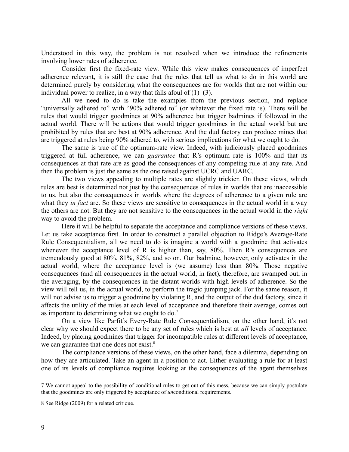Understood in this way, the problem is not resolved when we introduce the refinements involving lower rates of adherence.

Consider first the fixed-rate view. While this view makes consequences of imperfect adherence relevant, it is still the case that the rules that tell us what to do in this world are determined purely by considering what the consequences are for worlds that are not within our individual power to realize, in a way that falls afoul of  $(1)$ – $(3)$ .

All we need to do is take the examples from the previous section, and replace "universally adhered to" with "90% adhered to" (or whatever the fixed rate is). There will be rules that would trigger goodmines at 90% adherence but trigger badmines if followed in the actual world. There will be actions that would trigger goodmines in the actual world but are prohibited by rules that are best at 90% adherence. And the dud factory can produce mines that are triggered at rules being 90% adhered to, with serious implications for what we ought to do.

The same is true of the optimum-rate view. Indeed, with judiciously placed goodmines triggered at full adherence, we can *guarantee* that R's optimum rate is 100% and that its consequences at that rate are as good the consequences of any competing rule at any rate. And then the problem is just the same as the one raised against UCRC and UARC.

The two views appealing to multiple rates are slightly trickier. On these views, which rules are best is determined not just by the consequences of rules in worlds that are inaccessible to us, but also the consequences in worlds where the degrees of adherence to a given rule are what they *in fact* are. So these views are sensitive to consequences in the actual world in a way the others are not. But they are not sensitive to the consequences in the actual world in the *right* way to avoid the problem.

Here it will be helpful to separate the acceptance and compliance versions of these views. Let us take acceptance first. In order to construct a parallel objection to Ridge's Average-Rate Rule Consequentialism, all we need to do is imagine a world with a goodmine that activates whenever the acceptance level of R is higher than, say, 80%. Then R's consequences are tremendously good at 80%, 81%, 82%, and so on. Our badmine, however, only activates in the actual world, where the acceptance level is (we assume) less than 80%. Those negative consequences (and all consequences in the actual world, in fact), therefore, are swamped out, in the averaging, by the consequences in the distant worlds with high levels of adherence. So the view will tell us, in the actual world, to perform the tragic jumping jack. For the same reason, it will not advise us to trigger a goodmine by violating R, and the output of the dud factory, since it affects the utility of the rules at each level of acceptance and therefore their average, comes out as important to determining what we ought to do.<sup>[7](#page-8-0)</sup>

On a view like Parfit's Every-Rate Rule Consequentialism, on the other hand, it's not clear why we should expect there to be any set of rules which is best at *all* levels of acceptance. Indeed, by placing goodmines that trigger for incompatible rules at different levels of acceptance, we can guarantee that one does not exist.<sup>[8](#page-8-1)</sup>

The compliance versions of these views, on the other hand, face a dilemma, depending on how they are articulated. Take an agent in a position to act. Either evaluating a rule for at least one of its levels of compliance requires looking at the consequences of the agent themselves

<span id="page-8-0"></span><sup>7</sup> We cannot appeal to the possibility of conditional rules to get out of this mess, because we can simply postulate that the goodmines are only triggered by acceptance of *un*conditional requirements.

<span id="page-8-1"></span><sup>8</sup> See Ridge (2009) for a related critique.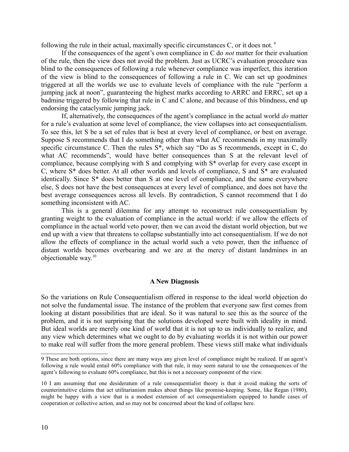following the rule in their actual, maximally specific circumstances C, or it does not.<sup>[9](#page-9-0)</sup>

If the consequences of the agent's own compliance in C do *not* matter for their evaluation of the rule, then the view does not avoid the problem. Just as UCRC's evaluation procedure was blind to the consequences of following a rule whenever compliance was imperfect, this iteration of the view is blind to the consequences of following a rule in C. We can set up goodmines triggered at all the worlds we use to evaluate levels of compliance with the rule "perform a jumping jack at noon", guaranteeing the highest marks according to ARRC and ERRC, set up a badmine triggered by following that rule in C and C alone, and because of this blindness, end up endorsing the cataclysmic jumping jack.

If, alternatively, the consequences of the agent's compliance in the actual world *do* matter for a rule's evaluation at some level of compliance, the view collapses into act consequentialism. To see this, let S be a set of rules that is best at every level of compliance, or best on average. Suppose S recommends that I do something other than what AC recommends in my maximally specific circumstance C. Then the rules S\*, which say "Do as S recommends, except in C, do what AC recommends", would have better consequences than S at the relevant level of compliance, because complying with S and complying with S\* overlap for every case except in C, where S\* does better. At all other worlds and levels of compliance, S and S\* are evaluated identically. Since S\* does better than S at one level of compliance, and the same everywhere else, S does not have the best consequences at every level of compliance, and does not have the best average consequences across all levels. By contradiction, S cannot recommend that I do something inconsistent with AC.

This is a general dilemma for any attempt to reconstruct rule consequentialism by granting weight to the evaluation of compliance in the actual world: if we allow the effects of compliance in the actual world veto power, then we can avoid the distant world objection, but we end up with a view that threatens to collapse substantially into act consequentialism. If we do not allow the effects of compliance in the actual world such a veto power, then the influence of distant worlds becomes overbearing and we are at the mercy of distant landmines in an objectionable way.[10](#page-9-1)

## **A New Diagnosis**

So the variations on Rule Consequentialism offered in response to the ideal world objection do not solve the fundamental issue. The instance of the problem that everyone saw first comes from looking at distant possibilities that are ideal. So it was natural to see this as the source of the problem, and it is not surprising that the solutions developed were built with ideality in mind. But ideal worlds are merely one kind of world that it is not up to us individually to realize, and any view which determines what we ought to do by evaluating worlds it is not within our power to make real will suffer from the more general problem. These views still make what individuals

<span id="page-9-0"></span><sup>9</sup> These are both options, since there are many ways any given level of compliance might be realized. If an agent's following a rule would entail 60% compliance with that rule, it may seem natural to use the consequences of the agent's following to evaluate 60% compliance, but this is not a necessary component of the view.

<span id="page-9-1"></span><sup>10</sup> I am assuming that one desideratum of a rule consequentialist theory is that it avoid making the sorts of counterintuitive claims that act utilitarianism makes about things like promise-keeping. Some, like Regan (1980), might be happy with a view that is a modest extension of act consequentialism equipped to handle cases of cooperation or collective action, and so may not be concerned about the kind of collapse here.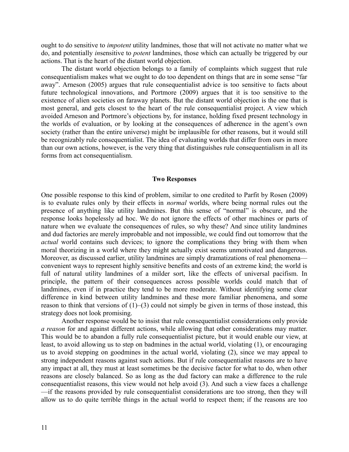ought to do sensitive to *impotent* utility landmines, those that will not activate no matter what we do, and potentially *in*sensitive to *potent* landmines, those which can actually be triggered by our actions. That is the heart of the distant world objection.

The distant world objection belongs to a family of complaints which suggest that rule consequentialism makes what we ought to do too dependent on things that are in some sense "far away". Arneson (2005) argues that rule consequentialist advice is too sensitive to facts about future technological innovations, and Portmore (2009) argues that it is too sensitive to the existence of alien societies on faraway planets. But the distant world objection is the one that is most general, and gets closest to the heart of the rule consequentialist project. A view which avoided Arneson and Portmore's objections by, for instance, holding fixed present technology in the worlds of evaluation, or by looking at the consequences of adherence in the agent's own society (rather than the entire universe) might be implausible for other reasons, but it would still be recognizably rule consequentialist. The idea of evaluating worlds that differ from ours in more than our own actions, however, is the very thing that distinguishes rule consequentialism in all its forms from act consequentialism.

#### **Two Responses**

One possible response to this kind of problem, similar to one credited to Parfit by Rosen (2009) is to evaluate rules only by their effects in *normal* worlds, where being normal rules out the presence of anything like utility landmines. But this sense of "normal" is obscure, and the response looks hopelessly ad hoc. We do not ignore the effects of other machines or parts of nature when we evaluate the consequences of rules, so why these? And since utility landmines and dud factories are merely improbable and not impossible, we could find out tomorrow that the *actual* world contains such devices; to ignore the complications they bring with them when moral theorizing in a world where they might actually exist seems unmotivated and dangerous. Moreover, as discussed earlier, utility landmines are simply dramatizations of real phenomena convenient ways to represent highly sensitive benefits and costs of an extreme kind; the world is full of natural utility landmines of a milder sort, like the effects of universal pacifism. In principle, the pattern of their consequences across possible worlds could match that of landmines, even if in practice they tend to be more moderate. Without identifying some clear difference in kind between utility landmines and these more familiar phenomena, and some reason to think that versions of  $(1)$ – $(3)$  could not simply be given in terms of those instead, this strategy does not look promising.

Another response would be to insist that rule consequentialist considerations only provide *a reason* for and against different actions, while allowing that other considerations may matter. This would be to abandon a fully rule consequentialist picture, but it would enable our view, at least, to avoid allowing us to step on badmines in the actual world, violating (1), or encouraging us to avoid stepping on goodmines in the actual world, violating (2), since we may appeal to strong independent reasons against such actions. But if rule consequentialist reasons are to have any impact at all, they must at least sometimes be the decisive factor for what to do, when other reasons are closely balanced. So as long as the dud factory can make a difference to the rule consequentialist reasons, this view would not help avoid (3). And such a view faces a challenge —if the reasons provided by rule consequentialist considerations are too strong, then they will allow us to do quite terrible things in the actual world to respect them; if the reasons are too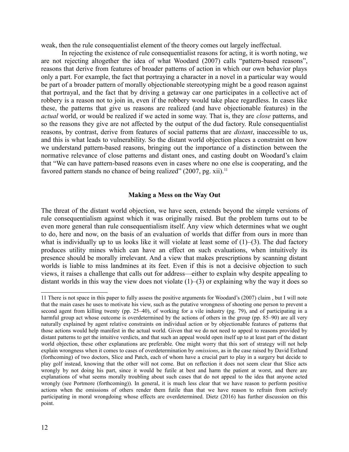weak, then the rule consequentialist element of the theory comes out largely ineffectual.

In rejecting the existence of rule consequentialist reasons for acting, it is worth noting, we are not rejecting altogether the idea of what Woodard (2007) calls "pattern-based reasons", reasons that derive from features of broader patterns of action in which our own behavior plays only a part. For example, the fact that portraying a character in a novel in a particular way would be part of a broader pattern of morally objectionable stereotyping might be a good reason against that portrayal, and the fact that by driving a getaway car one participates in a collective act of robbery is a reason not to join in, even if the robbery would take place regardless. In cases like these, the patterns that give us reasons are realized (and have objectionable features) in the *actual* world, or would be realized if we acted in some way. That is, they are *close* patterns, and so the reasons they give are not affected by the output of the dud factory. Rule consequentialist reasons, by contrast, derive from features of social patterns that are *distant*, inaccessible to us, and this is what leads to vulnerability. So the distant world objection places a constraint on how we understand pattern-based reasons, bringing out the importance of a distinction between the normative relevance of close patterns and distant ones, and casting doubt on Woodard's claim that "We can have pattern-based reasons even in cases where no one else is cooperating, and the favored pattern stands no chance of being realized" (2007, pg. xii).<sup>[11](#page-11-0)</sup>

# **Making a Mess on the Way Out**

The threat of the distant world objection, we have seen, extends beyond the simple versions of rule consequentialism against which it was originally raised. But the problem turns out to be even more general than rule consequentialism itself. Any view which determines what we ought to do, here and now, on the basis of an evaluation of worlds that differ from ours in more than what is individually up to us looks like it will violate at least some of  $(1)$ – $(3)$ . The dud factory produces utility mines which can have an effect on such evaluations, when intuitively its presence should be morally irrelevant. And a view that makes prescriptions by scanning distant worlds is liable to miss landmines at its feet. Even if this is not a decisive objection to such views, it raises a challenge that calls out for address—either to explain why despite appealing to distant worlds in this way the view does not violate  $(1)$ – $(3)$  or explaining why the way it does so

<span id="page-11-0"></span><sup>11</sup> There is not space in this paper to fully assess the positive arguments for Woodard's (2007) claim , but I will note that the main cases he uses to motivate his view, such as the putative wrongness of shooting one person to prevent a second agent from killing twenty (pp. 25–40), of working for a vile industry (pg. 79), and of participating in a harmful group act whose outcome is overdetermined by the actions of others in the group (pp. 85–90) are all very naturally explained by agent relative constraints on individual action or by objectionable features of patterns that those actions would help manifest in the actual world. Given that we do not need to appeal to reasons provided by distant patterns to get the intuitive verdicts, and that such an appeal would open itself up to at least part of the distant world objection, these other explanations are preferable. One might worry that this sort of strategy will not help explain wrongness when it comes to cases of overdetermination by *omissions*, as in the case raised by David Estlund (forthcoming) of two doctors, Slice and Patch, each of whom have a crucial part to play in a surgery but decide to play golf instead, knowing that the other will not come. But on reflection it does not seem clear that Slice acts wrongly by not doing his part, since it would be futile at best and harm the patient at worst, and there are explanations of what seems morally troubling about such cases that do not appeal to the idea that anyone acted wrongly (see Portmore (forthcoming)). In general, it is much less clear that we have reason to perform positive actions when the omissions of others render them futile than that we have reason to refrain from actively participating in moral wrongdoing whose effects are overdetermined. Dietz (2016) has further discussion on this point.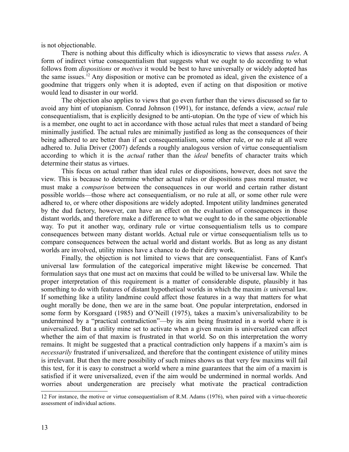is not objectionable.

There is nothing about this difficulty which is idiosyncratic to views that assess *rules*. A form of indirect virtue consequentialism that suggests what we ought to do according to what follows from *dispositions* or *motives* it would be best to have universally or widely adopted has the same issues.<sup>[12](#page-12-0)</sup> Any disposition or motive can be promoted as ideal, given the existence of a goodmine that triggers only when it is adopted, even if acting on that disposition or motive would lead to disaster in our world.

The objection also applies to views that go even further than the views discussed so far to avoid any hint of utopianism. Conrad Johnson (1991), for instance, defends a view, *actual* rule consequentialism, that is explicitly designed to be anti-utopian. On the type of view of which his is a member, one ought to act in accordance with those actual rules that meet a standard of being minimally justified. The actual rules are minimally justified as long as the consequences of their being adhered to are better than if act consequentialism, some other rule, or no rule at all were adhered to. Julia Driver (2007) defends a roughly analogous version of virtue consequentialism according to which it is the *actual* rather than the *ideal* benefits of character traits which determine their status as virtues.

This focus on actual rather than ideal rules or dispositions, however, does not save the view. This is because to determine whether actual rules or dispositions pass moral muster, we must make a *comparison* between the consequences in our world and certain rather distant possible worlds—those where act consequentialism, or no rule at all, or some other rule were adhered to, or where other dispositions are widely adopted. Impotent utility landmines generated by the dud factory, however, can have an effect on the evaluation of consequences in those distant worlds, and therefore make a difference to what we ought to do in the same objectionable way. To put it another way, ordinary rule or virtue consequentialism tells us to compare consequences between many distant worlds. Actual rule or virtue consequentialism tells us to compare consequences between the actual world and distant worlds. But as long as any distant worlds are involved, utility mines have a chance to do their dirty work.

Finally, the objection is not limited to views that are consequentialist. Fans of Kant's universal law formulation of the categorical imperative might likewise be concerned. That formulation says that one must act on maxims that could be willed to be universal law. While the proper interpretation of this requirement is a matter of considerable dispute, plausibly it has something to do with features of distant hypothetical worlds in which the maxim *is* universal law. If something like a utility landmine could affect those features in a way that matters for what ought morally be done, then we are in the same boat. One popular interpretation, endorsed in some form by Korsgaard (1985) and O'Neill (1975), takes a maxim's universalizability to be undermined by a "practical contradiction"—by its aim being frustrated in a world where it is universalized. But a utility mine set to activate when a given maxim is universalized can affect whether the aim of that maxim is frustrated in that world. So on this interpretation the worry remains. It might be suggested that a practical contradiction only happens if a maxim's aim is *necessarily* frustrated if universalized, and therefore that the contingent existence of utility mines is irrelevant. But then the mere possibility of such mines shows us that very few maxims will fail this test, for it is easy to construct a world where a mine guarantees that the aim of a maxim is satisfied if it were universalized, even if the aim would be undermined in normal worlds. And worries about undergeneration are precisely what motivate the practical contradiction

<span id="page-12-0"></span><sup>12</sup> For instance, the motive or virtue consequentialism of R.M. Adams (1976), when paired with a virtue-theoretic assessment of individual actions.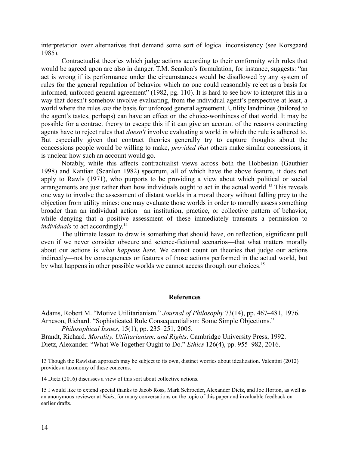interpretation over alternatives that demand some sort of logical inconsistency (see Korsgaard 1985).

Contractualist theories which judge actions according to their conformity with rules that would be agreed upon are also in danger. T.M. Scanlon's formulation, for instance, suggests: "an act is wrong if its performance under the circumstances would be disallowed by any system of rules for the general regulation of behavior which no one could reasonably reject as a basis for informed, unforced general agreement" (1982, pg. 110). It is hard to see how to interpret this in a way that doesn't somehow involve evaluating, from the individual agent's perspective at least, a world where the rules *are* the basis for unforced general agreement. Utility landmines (tailored to the agent's tastes, perhaps) can have an effect on the choice-worthiness of that world. It may be possible for a contract theory to escape this if it can give an account of the reasons contracting agents have to reject rules that *doesn't* involve evaluating a world in which the rule is adhered to. But especially given that contract theories generally try to capture thoughts about the concessions people would be willing to make, *provided that* others make similar concessions, it is unclear how such an account would go.

Notably, while this affects contractualist views across both the Hobbesian (Gauthier 1998) and Kantian (Scanlon 1982) spectrum, all of which have the above feature, it does not apply to Rawls (1971), who purports to be providing a view about which political or social arrangements are just rather than how individuals ought to act in the actual world.<sup>[13](#page-13-0)</sup> This reveals one way to involve the assessment of distant worlds in a moral theory without falling prey to the objection from utility mines: one may evaluate those worlds in order to morally assess something broader than an individual action—an institution, practice, or collective pattern of behavior, while denying that a positive assessment of these immediately transmits a permission to *individuals* to act accordingly.<sup>[14](#page-13-1)</sup>

The ultimate lesson to draw is something that should have, on reflection, significant pull even if we never consider obscure and science-fictional scenarios—that what matters morally about our actions is *what happens here.* We cannot count on theories that judge our actions indirectly—not by consequences or features of those actions performed in the actual world, but by what happens in other possible worlds we cannot access through our choices.<sup>[15](#page-13-2)</sup>

#### **References**

Adams, Robert M. "Motive Utilitarianism." *Journal of Philosophy* 73(14), pp. 467–481, 1976. Arneson, Richard. "Sophisticated Rule Consequentialism: Some Simple Objections." *Philosophical Issues*, 15(1), pp. 235–251, 2005.

Brandt, Richard. *Morality, Utilitarianism, and Rights*. Cambridge University Press, 1992. Dietz, Alexander. "What We Together Ought to Do." *Ethics* 126(4), pp. 955–982, 2016.

<span id="page-13-0"></span><sup>13</sup> Though the Rawlsian approach may be subject to its own, distinct worries about idealization. Valentini (2012) provides a taxonomy of these concerns.

<span id="page-13-1"></span><sup>14</sup> Dietz (2016) discusses a view of this sort about collective actions.

<span id="page-13-2"></span><sup>15</sup> I would like to extend special thanks to Jacob Ross, Mark Schroeder, Alexander Dietz, and Joe Horton, as well as an anonymous reviewer at *Noûs*, for many conversations on the topic of this paper and invaluable feedback on earlier drafts.